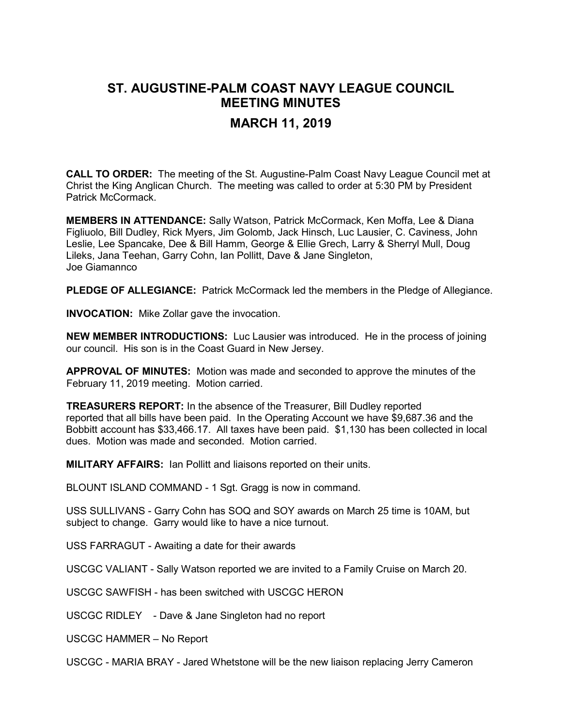## **ST. AUGUSTINE-PALM COAST NAVY LEAGUE COUNCIL MEETING MINUTES**

## **MARCH 11, 2019**

**CALL TO ORDER:** The meeting of the St. Augustine-Palm Coast Navy League Council met at Christ the King Anglican Church. The meeting was called to order at 5:30 PM by President Patrick McCormack.

**MEMBERS IN ATTENDANCE:** Sally Watson, Patrick McCormack, Ken Moffa, Lee & Diana Figliuolo, Bill Dudley, Rick Myers, Jim Golomb, Jack Hinsch, Luc Lausier, C. Caviness, John Leslie, Lee Spancake, Dee & Bill Hamm, George & Ellie Grech, Larry & Sherryl Mull, Doug Lileks, Jana Teehan, Garry Cohn, Ian Pollitt, Dave & Jane Singleton, Joe Giamannco

**PLEDGE OF ALLEGIANCE:** Patrick McCormack led the members in the Pledge of Allegiance.

**INVOCATION:** Mike Zollar gave the invocation.

**NEW MEMBER INTRODUCTIONS:** Luc Lausier was introduced. He in the process of joining our council. His son is in the Coast Guard in New Jersey.

**APPROVAL OF MINUTES:** Motion was made and seconded to approve the minutes of the February 11, 2019 meeting. Motion carried.

**TREASURERS REPORT:** In the absence of the Treasurer, Bill Dudley reported reported that all bills have been paid. In the Operating Account we have \$9,687.36 and the Bobbitt account has \$33,466.17. All taxes have been paid. \$1,130 has been collected in local dues. Motion was made and seconded. Motion carried.

**MILITARY AFFAIRS:** Ian Pollitt and liaisons reported on their units.

BLOUNT ISLAND COMMAND - 1 Sgt. Gragg is now in command.

USS SULLIVANS - Garry Cohn has SOQ and SOY awards on March 25 time is 10AM, but subject to change. Garry would like to have a nice turnout.

USS FARRAGUT - Awaiting a date for their awards

USCGC VALIANT - Sally Watson reported we are invited to a Family Cruise on March 20.

USCGC SAWFISH - has been switched with USCGC HERON

USCGC RIDLEY - Dave & Jane Singleton had no report

USCGC HAMMER – No Report

USCGC - MARIA BRAY - Jared Whetstone will be the new liaison replacing Jerry Cameron